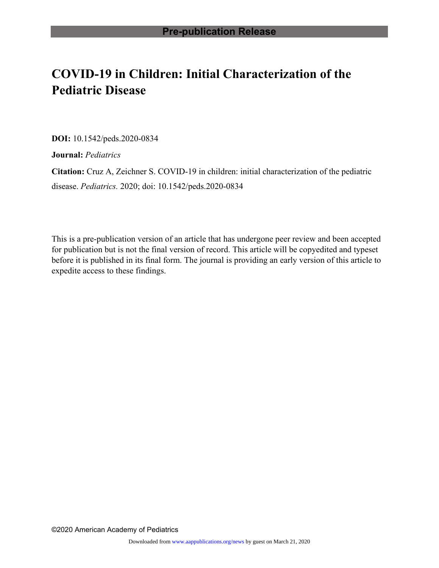# **COVID-19 in Children: Initial Characterization of the Pediatric Disease**

**DOI:** 10.1542/peds.2020-0834

**Journal:** *Pediatrics*

**Citation:** Cruz A, Zeichner S. COVID-19 in children: initial characterization of the pediatric disease. *Pediatrics.* 2020; doi: 10.1542/peds.2020-0834

This is a pre-publication version of an article that has undergone peer review and been accepted for publication but is not the final version of record. This article will be copyedited and typeset before it is published in its final form. The journal is providing an early version of this article to expedite access to these findings.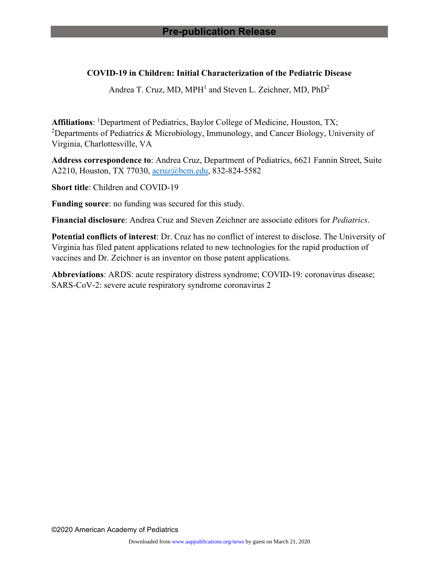## **COVID-19 in Children: Initial Characterization of the Pediatric Disease**

Andrea T. Cruz, MD, MPH<sup>1</sup> and Steven L. Zeichner, MD, PhD<sup>2</sup>

Affiliations: <sup>1</sup>Department of Pediatrics, Baylor College of Medicine, Houston, TX; <sup>2</sup>Departments of Pediatrics & Microbiology, Immunology, and Cancer Biology, University of Virginia, Charlottesville, VA

**Address correspondence to**: Andrea Cruz, Department of Pediatrics, 6621 Fannin Street, Suite A2210, Houston, TX 77030, [acruz@bcm.edu,](mailto:acruz@bcm.edu) 832-824-5582

**Short title**: Children and COVID-19

**Funding source**: no funding was secured for this study.

**Financial disclosure**: Andrea Cruz and Steven Zeichner are associate editors for *Pediatrics*.

**Potential conflicts of interest**: Dr. Cruz has no conflict of interest to disclose. The University of Virginia has filed patent applications related to new technologies for the rapid production of vaccines and Dr. Zeichner is an inventor on those patent applications.

**Abbreviations**: ARDS: acute respiratory distress syndrome; COVID-19: coronavirus disease; SARS-CoV-2: severe acute respiratory syndrome coronavirus 2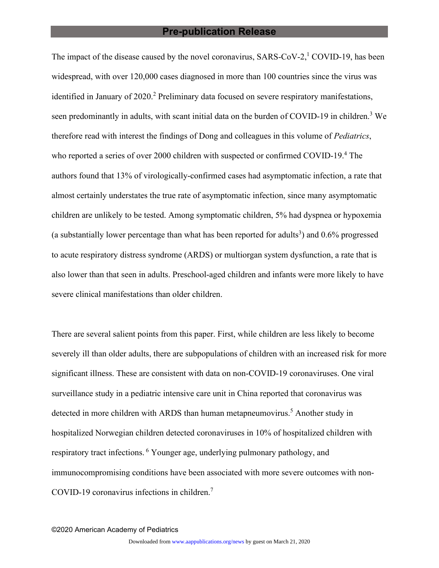#### **Pre-publication Release**

The impact of the disease caused by the novel coronavirus,  $SARS-CoV-2$ ,  $COVID-19$ , has been widespread, with over 120,000 cases diagnosed in more than 100 countries since the virus was identified in January of 2020.<sup>2</sup> Preliminary data focused on severe respiratory manifestations, seen predominantly in adults, with scant initial data on the burden of COVID-19 in children.<sup>3</sup> We therefore read with interest the findings of Dong and colleagues in this volume of *Pediatrics*, who reported a series of over 2000 children with suspected or confirmed COVID-19.<sup>4</sup> The authors found that 13% of virologically-confirmed cases had asymptomatic infection, a rate that almost certainly understates the true rate of asymptomatic infection, since many asymptomatic children are unlikely to be tested. Among symptomatic children, 5% had dyspnea or hypoxemia (a substantially lower percentage than what has been reported for adults<sup>3</sup>) and  $0.6\%$  progressed to acute respiratory distress syndrome (ARDS) or multiorgan system dysfunction, a rate that is also lower than that seen in adults. Preschool-aged children and infants were more likely to have severe clinical manifestations than older children.

There are several salient points from this paper. First, while children are less likely to become severely ill than older adults, there are subpopulations of children with an increased risk for more significant illness. These are consistent with data on non-COVID-19 coronaviruses. One viral surveillance study in a pediatric intensive care unit in China reported that coronavirus was detected in more children with ARDS than human metapneumovirus.<sup>5</sup> Another study in hospitalized Norwegian children detected coronaviruses in 10% of hospitalized children with respiratory tract infections. 6 Younger age, underlying pulmonary pathology, and immunocompromising conditions have been associated with more severe outcomes with non-COVID-19 coronavirus infections in children. $7$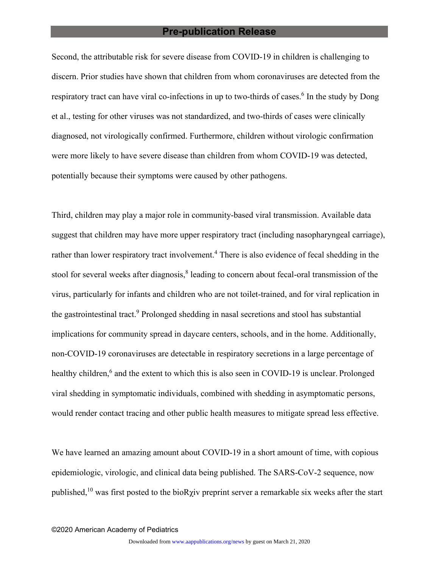#### **Pre-publication Release**

Second, the attributable risk for severe disease from COVID-19 in children is challenging to discern. Prior studies have shown that children from whom coronaviruses are detected from the respiratory tract can have viral co-infections in up to two-thirds of cases.<sup>6</sup> In the study by Dong et al., testing for other viruses was not standardized, and two-thirds of cases were clinically diagnosed, not virologically confirmed. Furthermore, children without virologic confirmation were more likely to have severe disease than children from whom COVID-19 was detected, potentially because their symptoms were caused by other pathogens.

Third, children may play a major role in community-based viral transmission. Available data suggest that children may have more upper respiratory tract (including nasopharyngeal carriage), rather than lower respiratory tract involvement.<sup>4</sup> There is also evidence of fecal shedding in the stool for several weeks after diagnosis,<sup>8</sup> leading to concern about fecal-oral transmission of the virus, particularly for infants and children who are not toilet-trained, and for viral replication in the gastrointestinal tract.<sup>9</sup> Prolonged shedding in nasal secretions and stool has substantial implications for community spread in daycare centers, schools, and in the home. Additionally, non-COVID-19 coronaviruses are detectable in respiratory secretions in a large percentage of healthy children,<sup>6</sup> and the extent to which this is also seen in COVID-19 is unclear. Prolonged viral shedding in symptomatic individuals, combined with shedding in asymptomatic persons, would render contact tracing and other public health measures to mitigate spread less effective.

We have learned an amazing amount about COVID-19 in a short amount of time, with copious epidemiologic, virologic, and clinical data being published. The SARS-CoV-2 sequence, now published,<sup>10</sup> was first posted to the bioR $\chi$ iv preprint server a remarkable six weeks after the start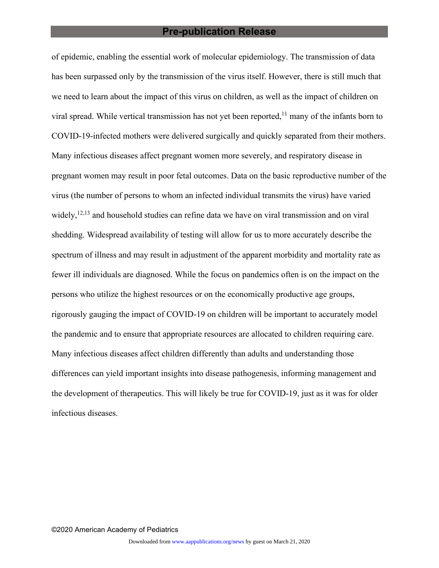#### **Pre-publication Release**

of epidemic, enabling the essential work of molecular epidemiology. The transmission of data has been surpassed only by the transmission of the virus itself. However, there is still much that we need to learn about the impact of this virus on children, as well as the impact of children on viral spread. While vertical transmission has not yet been reported,  $11$  many of the infants born to COVID-19-infected mothers were delivered surgically and quickly separated from their mothers. Many infectious diseases affect pregnant women more severely, and respiratory disease in pregnant women may result in poor fetal outcomes. Data on the basic reproductive number of the virus (the number of persons to whom an infected individual transmits the virus) have varied widely,  $^{12,13}$  and household studies can refine data we have on viral transmission and on viral shedding. Widespread availability of testing will allow for us to more accurately describe the spectrum of illness and may result in adjustment of the apparent morbidity and mortality rate as fewer ill individuals are diagnosed. While the focus on pandemics often is on the impact on the persons who utilize the highest resources or on the economically productive age groups, rigorously gauging the impact of COVID-19 on children will be important to accurately model the pandemic and to ensure that appropriate resources are allocated to children requiring care. Many infectious diseases affect children differently than adults and understanding those differences can yield important insights into disease pathogenesis, informing management and the development of therapeutics. This will likely be true for COVID-19, just as it was for older infectious diseases.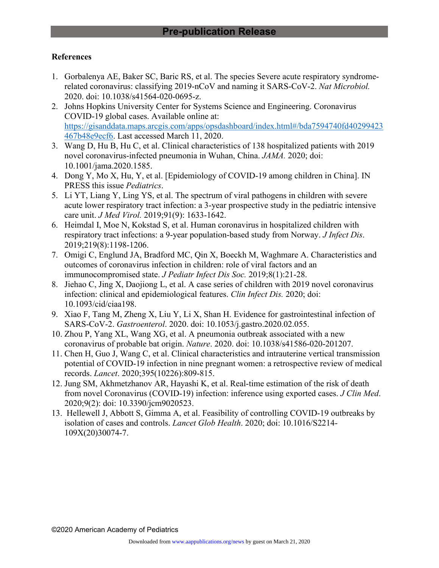## **References**

- 1. Gorbalenya AE, Baker SC, Baric RS, et al. The species Severe acute respiratory syndromerelated coronavirus: classifying 2019-nCoV and naming it SARS-CoV-2. *Nat Microbiol.* 2020. doi: 10.1038/s41564-020-0695-z.
- 2. Johns Hopkins University Center for Systems Science and Engineering. Coronavirus COVID-19 global cases. Available online at: [https://gisanddata.maps.arcgis.com/apps/opsdashboard/index.html#/bda7594740fd40299423](https://gisanddata.maps.arcgis.com/apps/opsdashboard/index.html#/bda7594740fd40299423467b48e9ecf6) [467b48e9ecf6.](https://gisanddata.maps.arcgis.com/apps/opsdashboard/index.html#/bda7594740fd40299423467b48e9ecf6) Last accessed March 11, 2020.
- 3. Wang D, Hu B, Hu C, et al. Clinical characteristics of 138 hospitalized patients with 2019 novel coronavirus-infected pneumonia in Wuhan, China. *JAMA.* 2020; doi: 10.1001/jama.2020.1585.
- 4. Dong Y, Mo X, Hu, Y, et al. [Epidemiology of COVID-19 among children in China]. IN PRESS this issue *Pediatrics*.
- 5. Li YT, Liang Y, Ling YS, et al. The spectrum of viral pathogens in children with severe acute lower respiratory tract infection: a 3-year prospective study in the pediatric intensive care unit. *J Med Virol.* 2019;91(9): 1633-1642.
- 6. Heimdal I, Moe N, Kokstad S, et al. Human coronavirus in hospitalized children with respiratory tract infections: a 9-year population-based study from Norway. *J Infect Dis*. 2019;219(8):1198-1206.
- 7. Omigi C, Englund JA, Bradford MC, Qin X, Boeckh M, Waghmare A. Characteristics and outcomes of coronavirus infection in children: role of viral factors and an immunocompromised state. *J Pediatr Infect Dis Soc.* 2019;8(1):21-28.
- 8. Jiehao C, Jing X, Daojiong L, et al. A case series of children with 2019 novel coronavirus infection: clinical and epidemiological features. *Clin Infect Dis.* 2020; doi: 10.1093/cid/ciaa198.
- 9. Xiao F, Tang M, Zheng X, Liu Y, Li X, Shan H. Evidence for gastrointestinal infection of SARS-CoV-2. *Gastroenterol*. 2020. doi: [10.1053/j.gastro.2020.02.055.](https://doi.org/10.1053/j.gastro.2020.02.055)
- 10. Zhou P, Yang XL, Wang XG, et al. A pneumonia outbreak associated with a new coronavirus of probable bat origin. *Nature*. 2020. doi: 10.1038/s41586-020-201207.
- 11. Chen H, Guo J, Wang C, et al. Clinical characteristics and intrauterine vertical transmission potential of COVID-19 infection in nine pregnant women: a retrospective review of medical records. *Lancet*. 2020;395(10226):809-815.
- 12. Jung SM, Akhmetzhanov AR, Hayashi K, et al. Real-time estimation of the risk of death from novel Coronavirus (COVID-19) infection: inference using exported cases. *J Clin Med*. 2020;9(2): doi: 10.3390/jcm9020523.
- 13. Hellewell J, Abbott S, Gimma A, et al. Feasibility of controlling COVID-19 outbreaks by isolation of cases and controls. *Lancet Glob Health*. 2020; doi: 10.1016/S2214- 109X(20)30074-7.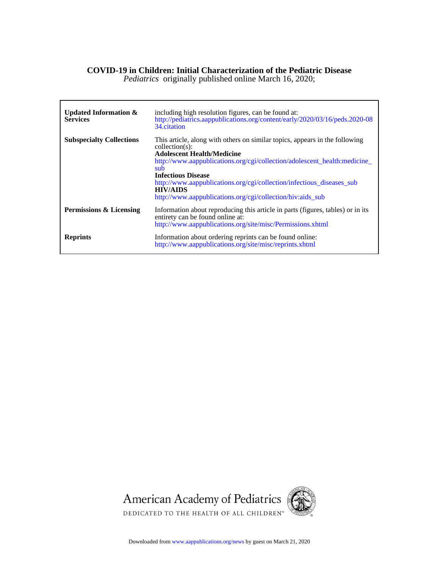#### **COVID-19 in Children: Initial Characterization of the Pediatric Disease**

*Pediatrics* originally published online March 16, 2020;

Г

| Updated Information $\&$<br><b>Services</b> | including high resolution figures, can be found at:<br>http://pediatrics.aappublications.org/content/early/2020/03/16/peds.2020-08<br>34. citation                                                                                                                                                                                                                                                                       |
|---------------------------------------------|--------------------------------------------------------------------------------------------------------------------------------------------------------------------------------------------------------------------------------------------------------------------------------------------------------------------------------------------------------------------------------------------------------------------------|
| <b>Subspecialty Collections</b>             | This article, along with others on similar topics, appears in the following<br>$\text{collection}(s)$ :<br><b>Adolescent Health/Medicine</b><br>http://www.aappublications.org/cgi/collection/adolescent_health:medicine_<br>sub.<br><b>Infectious Disease</b><br>http://www.aappublications.org/cgi/collection/infectious_diseases_sub<br><b>HIV/AIDS</b><br>http://www.aappublications.org/cgi/collection/hiv:aids_sub |
| Permissions & Licensing                     | Information about reproducing this article in parts (figures, tables) or in its<br>entirety can be found online at:<br>http://www.aappublications.org/site/misc/Permissions.xhtml                                                                                                                                                                                                                                        |
| <b>Reprints</b>                             | Information about ordering reprints can be found online:<br>http://www.aappublications.org/site/misc/reprints.xhtml                                                                                                                                                                                                                                                                                                      |